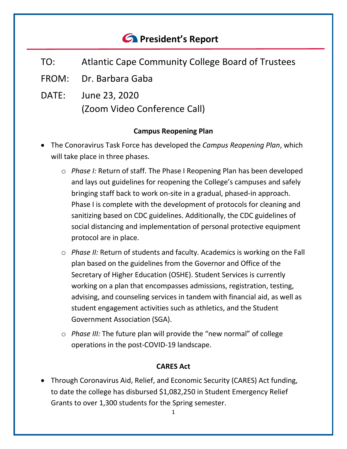# *<u>C* President's Report</u>

- TO: Atlantic Cape Community College Board of Trustees
- FROM: Dr. Barbara Gaba
- DATE: June 23, 2020 (Zoom Video Conference Call)

# **Campus Reopening Plan**

- The Conoravirus Task Force has developed the *Campus Reopening Plan*, which will take place in three phases.
	- o *Phase I:* Return of staff. The Phase I Reopening Plan has been developed and lays out guidelines for reopening the College's campuses and safely bringing staff back to work on-site in a gradual, phased-in approach. Phase I is complete with the development of protocols for cleaning and sanitizing based on CDC guidelines. Additionally, the CDC guidelines of social distancing and implementation of personal protective equipment protocol are in place.
	- o *Phase II:* Return of students and faculty. Academics is working on the Fall plan based on the guidelines from the Governor and Office of the Secretary of Higher Education (OSHE). Student Services is currently working on a plan that encompasses admissions, registration, testing, advising, and counseling services in tandem with financial aid, as well as student engagement activities such as athletics, and the Student Government Association (SGA).
	- o *Phase III:* The future plan will provide the "new normal" of college operations in the post-COVID-19 landscape.

# **CARES Act**

• Through Coronavirus Aid, Relief, and Economic Security (CARES) Act funding, to date the college has disbursed \$1,082,250 in Student Emergency Relief Grants to over 1,300 students for the Spring semester.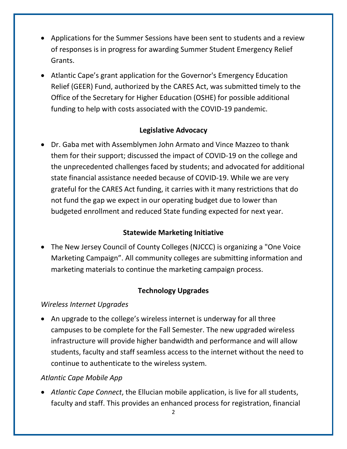- Applications for the Summer Sessions have been sent to students and a review of responses is in progress for awarding Summer Student Emergency Relief Grants.
- Atlantic Cape's grant application for the Governor's Emergency Education Relief (GEER) Fund, authorized by the CARES Act, was submitted timely to the Office of the Secretary for Higher Education (OSHE) for possible additional funding to help with costs associated with the COVID-19 pandemic.

# **Legislative Advocacy**

• Dr. Gaba met with Assemblymen John Armato and Vince Mazzeo to thank them for their support; discussed the impact of COVID-19 on the college and the unprecedented challenges faced by students; and advocated for additional state financial assistance needed because of COVID-19. While we are very grateful for the CARES Act funding, it carries with it many restrictions that do not fund the gap we expect in our operating budget due to lower than budgeted enrollment and reduced State funding expected for next year.

# **Statewide Marketing Initiative**

• The New Jersey Council of County Colleges (NJCCC) is organizing a "One Voice Marketing Campaign". All community colleges are submitting information and marketing materials to continue the marketing campaign process.

# **Technology Upgrades**

# *Wireless Internet Upgrades*

• An upgrade to the college's wireless internet is underway for all three campuses to be complete for the Fall Semester. The new upgraded wireless infrastructure will provide higher bandwidth and performance and will allow students, faculty and staff seamless access to the internet without the need to continue to authenticate to the wireless system.

# *Atlantic Cape Mobile App*

• *Atlantic Cape Connect*, the Ellucian mobile application, is live for all students, faculty and staff. This provides an enhanced process for registration, financial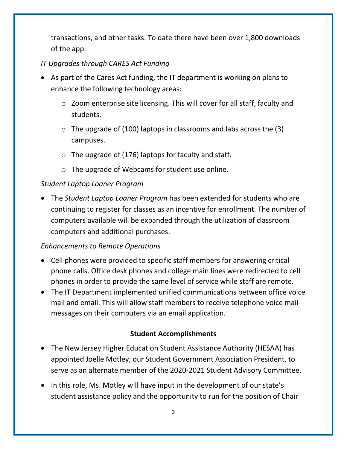transactions, and other tasks. To date there have been over 1,800 downloads of the app.

# *IT Upgrades through CARES Act Funding*

- As part of the Cares Act funding, the IT department is working on plans to enhance the following technology areas:
	- o Zoom enterprise site licensing. This will cover for all staff, faculty and students.
	- $\circ$  The upgrade of (100) laptops in classrooms and labs across the (3) campuses.
	- $\circ$  The upgrade of (176) laptops for faculty and staff.
	- o The upgrade of Webcams for student use online.

#### *Student Laptop Loaner Program*

• The *Student Laptop Loaner Program* has been extended for students who are continuing to register for classes as an incentive for enrollment. The number of computers available will be expanded through the utilization of classroom computers and additional purchases.

#### *Enhancements to Remote Operations*

- Cell phones were provided to specific staff members for answering critical phone calls. Office desk phones and college main lines were redirected to cell phones in order to provide the same level of service while staff are remote.
- The IT Department implemented unified communications between office voice mail and email. This will allow staff members to receive telephone voice mail messages on their computers via an email application.

# **Student Accomplishments**

- The New Jersey Higher Education Student Assistance Authority (HESAA) has appointed Joelle Motley, our Student Government Association President, to serve as an alternate member of the 2020-2021 Student Advisory Committee.
- In this role, Ms. Motley will have input in the development of our state's student assistance policy and the opportunity to run for the position of Chair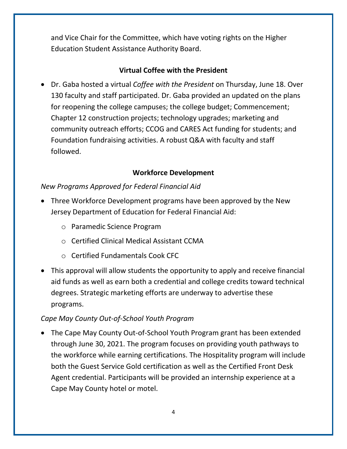and Vice Chair for the Committee, which have voting rights on the Higher Education Student Assistance Authority Board.

# **Virtual Coffee with the President**

• Dr. Gaba hosted a virtual *Coffee with the President* on Thursday, June 18. Over 130 faculty and staff participated. Dr. Gaba provided an updated on the plans for reopening the college campuses; the college budget; Commencement; Chapter 12 construction projects; technology upgrades; marketing and community outreach efforts; CCOG and CARES Act funding for students; and Foundation fundraising activities. A robust Q&A with faculty and staff followed.

# **Workforce Development**

# *New Programs Approved for Federal Financial Aid*

- Three Workforce Development programs have been approved by the New Jersey Department of Education for Federal Financial Aid:
	- o Paramedic Science Program
	- o Certified Clinical Medical Assistant CCMA
	- o Certified Fundamentals Cook CFC
- This approval will allow students the opportunity to apply and receive financial aid funds as well as earn both a credential and college credits toward technical degrees. Strategic marketing efforts are underway to advertise these programs.

# *Cape May County Out-of-School Youth Program*

• The Cape May County Out-of-School Youth Program grant has been extended through June 30, 2021. The program focuses on providing youth pathways to the workforce while earning certifications. The Hospitality program will include both the Guest Service Gold certification as well as the Certified Front Desk Agent credential. Participants will be provided an internship experience at a Cape May County hotel or motel.